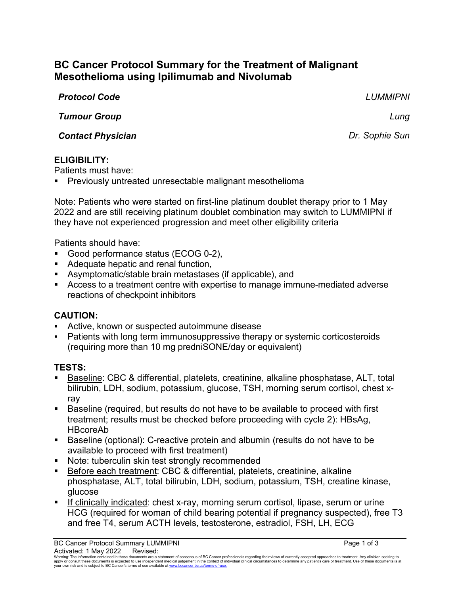# **BC Cancer Protocol Summary for the Treatment of Malignant Mesothelioma using Ipilimumab and Nivolumab**

*Protocol Code LUMMIPNI*

*Tumour Group Lung*

**Contact Physician** *Contact Physician Dr. Sophie Sun* 

#### **ELIGIBILITY:**

Patients must have:

Previously untreated unresectable malignant mesothelioma

Note: Patients who were started on first-line platinum doublet therapy prior to 1 May 2022 and are still receiving platinum doublet combination may switch to LUMMIPNI if they have not experienced progression and meet other eligibility criteria

Patients should have:

- Good performance status (ECOG 0-2),
- Adequate hepatic and renal function,
- Asymptomatic/stable brain metastases (if applicable), and
- Access to a treatment centre with expertise to manage immune-mediated adverse reactions of checkpoint inhibitors

### **CAUTION:**

- Active, known or suspected autoimmune disease
- Patients with long term immunosuppressive therapy or systemic corticosteroids (requiring more than 10 mg predniSONE/day or equivalent)

# **TESTS:**

- Baseline: CBC & differential, platelets, creatinine, alkaline phosphatase, ALT, total bilirubin, LDH, sodium, potassium, glucose, TSH, morning serum cortisol, chest xray
- Baseline (required, but results do not have to be available to proceed with first treatment; results must be checked before proceeding with cycle 2): HBsAg, HBcoreAb
- Baseline (optional): C-reactive protein and albumin (results do not have to be available to proceed with first treatment)
- **Note: tuberculin skin test strongly recommended**
- Before each treatment: CBC & differential, platelets, creatinine, alkaline phosphatase, ALT, total bilirubin, LDH, sodium, potassium, TSH, creatine kinase, glucose
- If clinically indicated: chest x-ray, morning serum cortisol, lipase, serum or urine HCG (required for woman of child bearing potential if pregnancy suspected), free T3 and free T4, serum ACTH levels, testosterone, estradiol, FSH, LH, ECG

Warning: The information contained in these documents are a statement of consensus of BC Cancer professionals regarding their views of currently accepted approaches to treatment. Any clinicial sexpected by the sector of th your own risk and is subject to BC Cancer's terms of use available at www.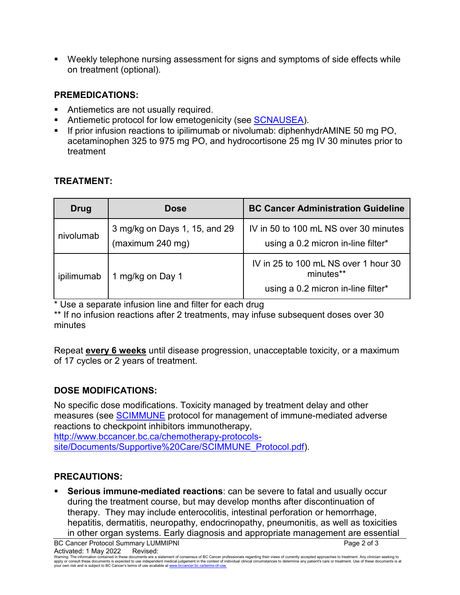Weekly telephone nursing assessment for signs and symptoms of side effects while on treatment (optional).

## **PREMEDICATIONS:**

- Antiemetics are not usually required.
- Antiemetic protocol for low emetogenicity (see [SCNAUSEA\)](http://www.bccancer.bc.ca/chemotherapy-protocols-site/Documents/Supportive%20Care/SCNAUSEA_Protocol.pdf).
- If prior infusion reactions to ipilimumab or nivolumab: diphenhydrAMINE 50 mg PO, acetaminophen 325 to 975 mg PO, and hydrocortisone 25 mg IV 30 minutes prior to treatment

| Drug       | <b>Dose</b>                                       | <b>BC Cancer Administration Guideline</b>                                               |
|------------|---------------------------------------------------|-----------------------------------------------------------------------------------------|
| nivolumab  | 3 mg/kg on Days 1, 15, and 29<br>(maximum 240 mg) | IV in 50 to 100 mL NS over 30 minutes<br>using a 0.2 micron in-line filter*             |
| ipilimumab | 1 mg/kg on Day 1                                  | IV in 25 to 100 mL NS over 1 hour 30<br>minutes**<br>using a 0.2 micron in-line filter* |

### **TREATMENT:**

\* Use a separate infusion line and filter for each drug

\*\* If no infusion reactions after 2 treatments, may infuse subsequent doses over 30 minutes

Repeat **every 6 weeks** until disease progression, unacceptable toxicity, or a maximum of 17 cycles or 2 years of treatment.

# **DOSE MODIFICATIONS:**

No specific dose modifications. Toxicity managed by treatment delay and other measures (see [SCIMMUNE](http://www.bccancer.bc.ca/chemotherapy-protocols-site/Documents/Supportive%20Care/SCIMMUNE_Protocol.pdf) protocol for management of immune-mediated adverse reactions to checkpoint inhibitors immunotherapy,

[http://www.bccancer.bc.ca/chemotherapy-protocols](http://www.bccancer.bc.ca/chemotherapy-protocols-site/Documents/Supportive%20Care/SCIMMUNE_Protocol.pdf)[site/Documents/Supportive%20Care/SCIMMUNE\\_Protocol.pdf\)](http://www.bccancer.bc.ca/chemotherapy-protocols-site/Documents/Supportive%20Care/SCIMMUNE_Protocol.pdf).

### **PRECAUTIONS:**

 **Serious immune-mediated reactions**: can be severe to fatal and usually occur during the treatment course, but may develop months after discontinuation of therapy. They may include enterocolitis, intestinal perforation or hemorrhage, hepatitis, dermatitis, neuropathy, endocrinopathy, pneumonitis, as well as toxicities in other organ systems. Early diagnosis and appropriate management are essential

Warning: The information contained in these documents are a statement of consensus of BC Cancer professionals regarding their views of currently accepted approaches to treatment. Any clinicial sexpected by the sector of th your own risk and is subject to BC Cancer's terms of use available at www.